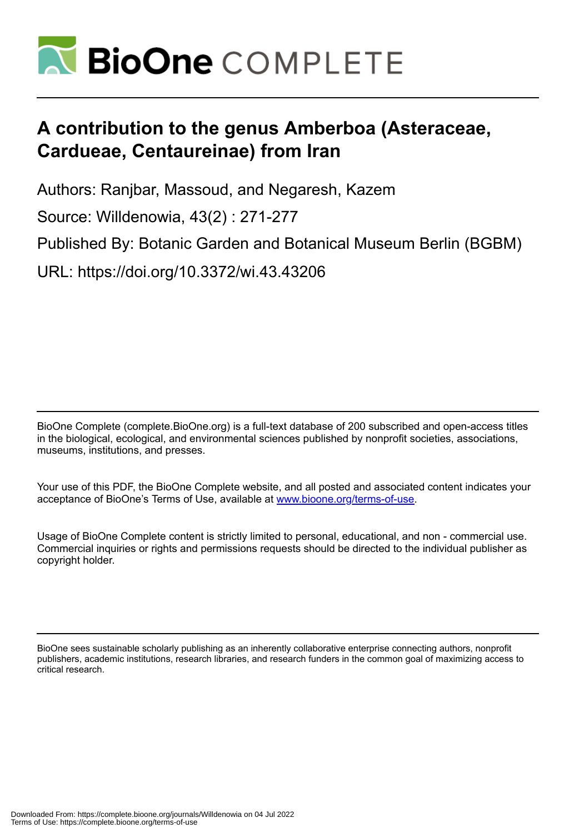

# **A contribution to the genus Amberboa (Asteraceae, Cardueae, Centaureinae) from Iran**

Authors: Ranjbar, Massoud, and Negaresh, Kazem

Source: Willdenowia, 43(2) : 271-277

Published By: Botanic Garden and Botanical Museum Berlin (BGBM)

URL: https://doi.org/10.3372/wi.43.43206

BioOne Complete (complete.BioOne.org) is a full-text database of 200 subscribed and open-access titles in the biological, ecological, and environmental sciences published by nonprofit societies, associations, museums, institutions, and presses.

Your use of this PDF, the BioOne Complete website, and all posted and associated content indicates your acceptance of BioOne's Terms of Use, available at www.bioone.org/terms-of-use.

Usage of BioOne Complete content is strictly limited to personal, educational, and non - commercial use. Commercial inquiries or rights and permissions requests should be directed to the individual publisher as copyright holder.

BioOne sees sustainable scholarly publishing as an inherently collaborative enterprise connecting authors, nonprofit publishers, academic institutions, research libraries, and research funders in the common goal of maximizing access to critical research.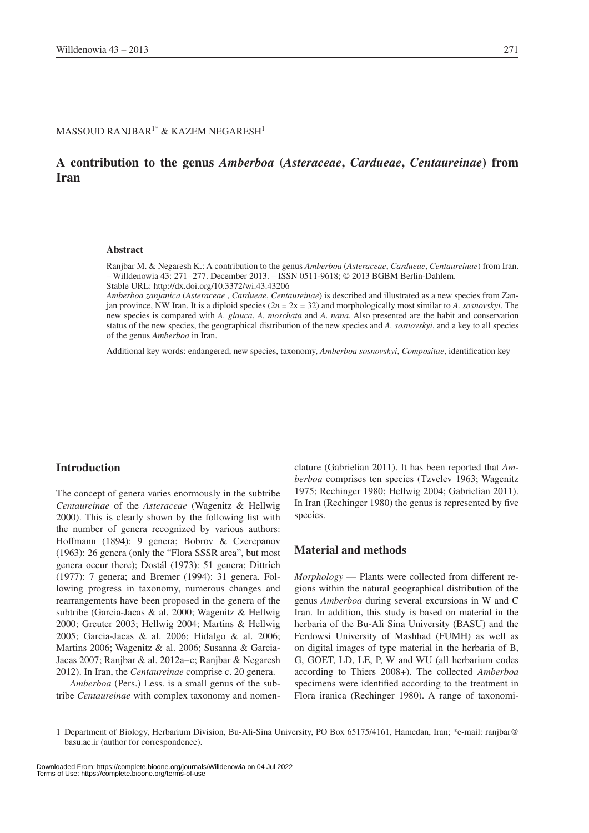### MASSOUD RANJBAR<sup>1\*</sup> & KAZEM NEGARESH<sup>1</sup>

# **A contribution to the genus** *Amberboa* **(***Asteraceae***,** *Cardueae***,** *Centaureinae***) from Iran**

#### **Abstract**

Ranjbar M. & Negaresh K.: A contribution to the genus *Amberboa* (*Asteraceae*, *Cardueae*, *Centaureinae*) from Iran. – Willdenowia 43: 271–277. December 2013. – ISSN 0511-9618; © 2013 BGBM Berlin-Dahlem. Stable URL: http://dx.doi.org/10.3372/wi.43.43206

*Amberboa zanjanica* (*Asteraceae* , *Cardueae*, *Centaureinae*) is described and illustrated as a new species from Zanjan province, NW Iran. It is a diploid species (2*n* = 2x = 32) and morphologically most similar to *A. sosnovskyi*. The new species is compared with *A. glauca*, *A. moschata* and *A. nana*. Also presented are the habit and conservation status of the new species, the geographical distribution of the new species and *A. sosnovskyi*, and a key to all species of the genus *Amberboa* in Iran.

Additional key words: endangered, new species, taxonomy, *Amberboa sosnovskyi*, *Compositae*, identification key

### **Introduction**

The concept of genera varies enormously in the subtribe *Centaureinae* of the *Asteraceae* (Wagenitz & Hellwig 2000). This is clearly shown by the following list with the number of genera recognized by various authors: Hoffmann (1894): 9 genera; Bobrov & Czerepanov (1963): 26 genera (only the "Flora SSSR area", but most genera occur there); Dostál (1973): 51 genera; Dittrich (1977): 7 genera; and Bremer (1994): 31 genera. Following progress in taxonomy, numerous changes and rearrangements have been proposed in the genera of the subtribe (Garcia-Jacas & al. 2000; Wagenitz & Hellwig 2000; Greuter 2003; Hellwig 2004; Martins & Hellwig 2005; Garcia-Jacas & al. 2006; Hidalgo & al. 2006; Martins 2006; Wagenitz & al. 2006; Susanna & Garcia-Jacas 2007; Ranjbar & al. 2012a–c; Ranjbar & Negaresh 2012). In Iran, the *Centaureinae* comprise c. 20 genera.

*Amberboa* (Pers.) Less. is a small genus of the subtribe *Centaureinae* with complex taxonomy and nomenclature (Gabrielian 2011). It has been reported that *Amberboa* comprises ten species (Tzvelev 1963; Wagenitz 1975; Rechinger 1980; Hellwig 2004; Gabrielian 2011). In Iran (Rechinger 1980) the genus is represented by five species.

### **Material and methods**

*Morphology* — Plants were collected from different regions within the natural geographical distribution of the genus *Amberboa* during several excursions in W and C Iran. In addition, this study is based on material in the herbaria of the Bu-Ali Sina University (BASU) and the Ferdowsi University of Mashhad (FUMH) as well as on digital images of type material in the herbaria of B, G, GOET, LD, LE, P, W and WU (all herbarium codes according to Thiers 2008+). The collected *Amberboa* specimens were identified according to the treatment in Flora iranica (Rechinger 1980). A range of taxonomi-

Downloaded From: https://complete.bioone.org/journals/Willdenowia on 04 Jul 2022 Terms of Use: https://complete.bioone.org/terms-of-use

<sup>1</sup> Department of Biology, Herbarium Division, Bu-Ali-Sina University, PO Box 65175/4161, Hamedan, Iran; \*e-mail: ranjbar@ basu.ac.ir (author for correspondence).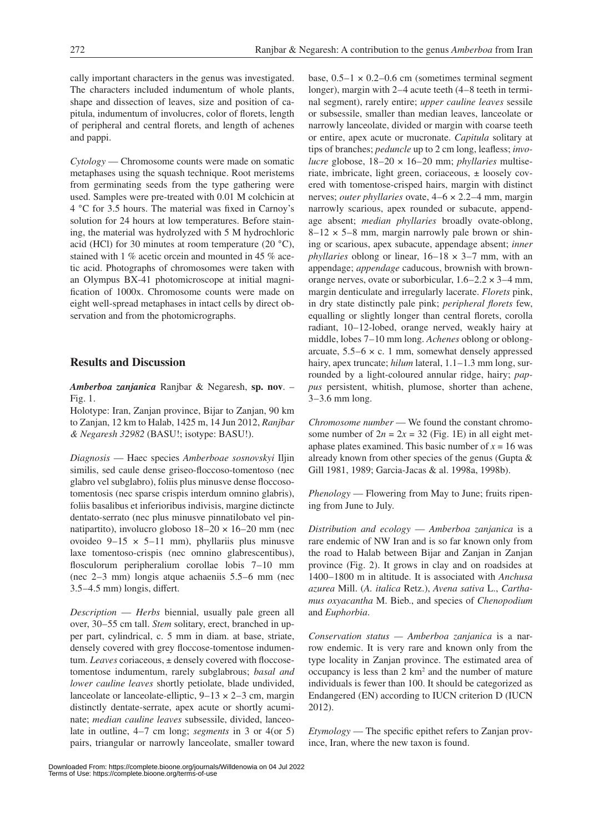cally important characters in the genus was investigated. The characters included indumentum of whole plants, shape and dissection of leaves, size and position of capitula, indumentum of involucres, color of florets, length of peripheral and central florets, and length of achenes and pappi.

*Cytology* — Chromosome counts were made on somatic metaphases using the squash technique. Root meristems from germinating seeds from the type gathering were used. Samples were pre-treated with 0.01 M colchicin at 4 °C for 3.5 hours. The material was fixed in Carnoy's solution for 24 hours at low temperatures. Before staining, the material was hydrolyzed with 5 M hydrochloric acid (HCl) for 30 minutes at room temperature (20  $^{\circ}$ C), stained with 1 % acetic orcein and mounted in 45 % acetic acid. Photographs of chromosomes were taken with an Olympus BX-41 photomicroscope at initial magnification of 1000x. Chromosome counts were made on eight well-spread metaphases in intact cells by direct observation and from the photomicrographs.

# **Results and Discussion**

*Amberboa zanjanica* Ranjbar & Negaresh, **sp. nov**. – Fig. 1.

Holotype: Iran, Zanjan province, Bijar to Zanjan, 90 km to Zanjan, 12 km to Halab, 1425 m, 14 Jun 2012, *Ranjbar & Negaresh 32982* (BASU!; isotype: BASU!).

*Diagnosis* — Haec species *Amberboae sosnovskyi* Iljin similis, sed caule dense griseo-floccoso-tomentoso (nec glabro vel subglabro), foliis plus minusve dense floccosotomentosis (nec sparse crispis interdum omnino glabris), foliis basalibus et inferioribus indivisis, margine dictincte dentato-serrato (nec plus minusve pinnatilobato vel pinnatipartito), involucro globoso  $18-20 \times 16-20$  mm (nec ovoideo  $9-15 \times 5-11$  mm), phyllariis plus minusve laxe tomentoso-crispis (nec omnino glabrescentibus), flosculorum peripheralium corollae lobis 7–10 mm (nec 2–3 mm) longis atque achaeniis 5.5–6 mm (nec 3.5–4.5 mm) longis, differt.

*Description* — *Herbs* biennial, usually pale green all over, 30–55 cm tall. *Stem* solitary, erect, branched in upper part, cylindrical, c. 5 mm in diam. at base, striate, densely covered with grey floccose-tomentose indumentum. *Leaves* coriaceous, ± densely covered with floccosetomentose indumentum, rarely subglabrous; *basal and lower cauline leaves* shortly petiolate, blade undivided, lanceolate or lanceolate-elliptic,  $9-13 \times 2-3$  cm, margin distinctly dentate-serrate, apex acute or shortly acuminate; *median cauline leaves* subsessile, divided, lanceolate in outline, 4–7 cm long; *segments* in 3 or 4(or 5) pairs, triangular or narrowly lanceolate, smaller toward

base,  $0.5-1 \times 0.2-0.6$  cm (sometimes terminal segment longer), margin with 2–4 acute teeth (4–8 teeth in terminal segment), rarely entire; *upper cauline leaves* sessile or subsessile, smaller than median leaves, lanceolate or narrowly lanceolate, divided or margin with coarse teeth or entire, apex acute or mucronate. *Capitula* solitary at tips of branches; *peduncle* up to 2 cm long, leafless; *involucre* globose, 18–20 × 16–20 mm; *phyllaries* multiseriate, imbricate, light green, coriaceous, ± loosely covered with tomentose-crisped hairs, margin with distinct nerves; *outer phyllaries* ovate, 4–6 × 2.2–4 mm, margin narrowly scarious, apex rounded or subacute, appendage absent; *median phyllaries* broadly ovate-oblong,  $8-12 \times 5-8$  mm, margin narrowly pale brown or shining or scarious, apex subacute, appendage absent; *inner phyllaries* oblong or linear, 16–18 × 3–7 mm, with an appendage; *appendage* caducous, brownish with brownorange nerves, ovate or suborbicular,  $1.6-2.2 \times 3-4$  mm, margin denticulate and irregularly lacerate. *Florets* pink, in dry state distinctly pale pink; *peripheral florets* few, equalling or slightly longer than central florets, corolla radiant, 10–12-lobed, orange nerved, weakly hairy at middle, lobes 7–10 mm long. *Achenes* oblong or oblongarcuate,  $5.5-6 \times c$ . 1 mm, somewhat densely appressed hairy, apex truncate; *hilum* lateral, 1.1–1.3 mm long, surrounded by a light-coloured annular ridge, hairy; *pappus* persistent, whitish, plumose, shorter than achene, 3–3.6 mm long.

*Chromosome number* — We found the constant chromosome number of  $2n = 2x = 32$  (Fig. 1E) in all eight metaphase plates examined. This basic number of  $x = 16$  was already known from other species of the genus (Gupta & Gill 1981, 1989; Garcia-Jacas & al. 1998a, 1998b).

*Phenology* — Flowering from May to June; fruits ripening from June to July.

*Distribution and ecology* — *Amberboa zanjanica* is a rare endemic of NW Iran and is so far known only from the road to Halab between Bijar and Zanjan in Zanjan province (Fig. 2). It grows in clay and on roadsides at 1400–1800 m in altitude. It is associated with *Anchusa azurea* Mill. (*A. italica* Retz.), *Avena sativa* L., *Carthamus oxyacantha* M. Bieb., and species of *Chenopodium* and *Euphorbia*.

*Conservation status — Amberboa zanjanica* is a narrow endemic. It is very rare and known only from the type locality in Zanjan province. The estimated area of  $occupancy$  is less than  $2 \text{ km}^2$  and the number of mature individuals is fewer than 100. It should be categorized as Endangered (EN) according to IUCN criterion D (IUCN 2012).

*Etymology* — The specific epithet refers to Zanjan province, Iran, where the new taxon is found.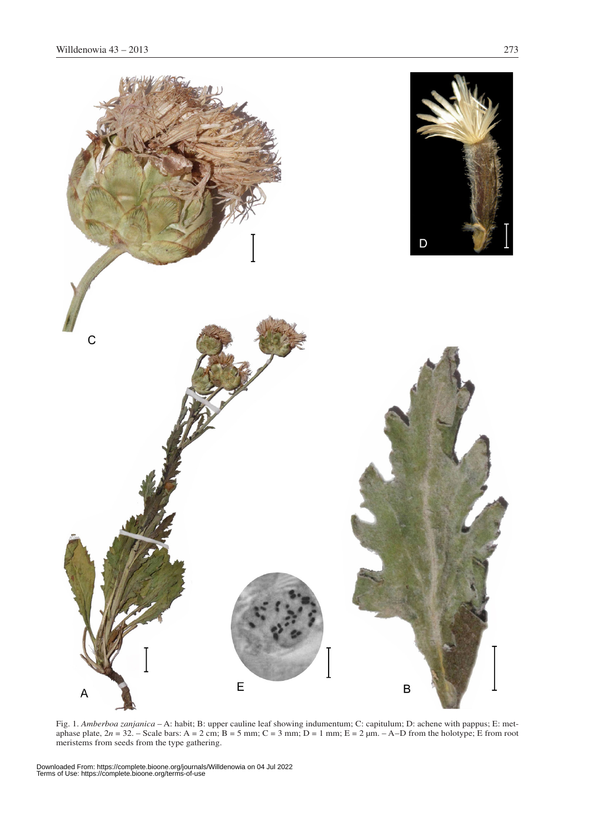

Fig. 1. *Amberboa zanjanica* – A: habit; B: upper cauline leaf showing indumentum; C: capitulum; D: achene with pappus; E: metaphase plate,  $2n = 32$ . – Scale bars: A = 2 cm; B = 5 mm; C = 3 mm; D = 1 mm; E = 2  $\mu$ m. – A–D from the holotype; E from root meristems from seeds from the type gathering.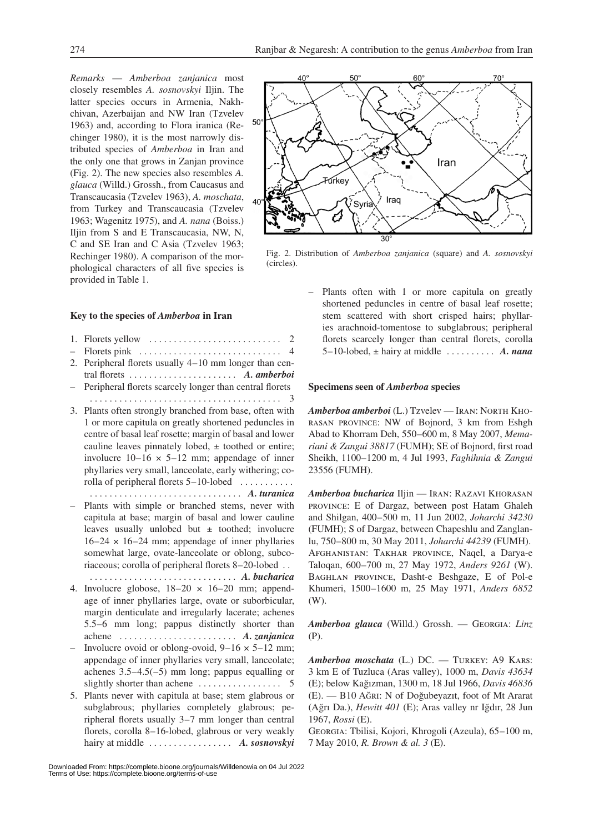*Remarks* — *Amberboa zanjanica* most closely resembles *A. sosnovskyi* Iljin. The latter species occurs in Armenia, Nakhchivan, Azerbaijan and NW Iran (Tzvelev 1963) and, according to Flora iranica (Rechinger 1980), it is the most narrowly distributed species of *Amberboa* in Iran and the only one that grows in Zanjan province (Fig. 2). The new species also resembles *A. glauca* (Willd.) Grossh., from Caucasus and Transcaucasia (Tzvelev 1963), *A. moschata*, from Turkey and Transcaucasia (Tzvelev 1963; Wagenitz 1975), and *A. nana* (Boiss.) Iljin from S and E Transcaucasia, NW, N, C and SE Iran and C Asia (Tzvelev 1963; Rechinger 1980). A comparison of the morphological characters of all five species is provided in Table 1.

#### **Key to the species of** *Amberboa* **in Iran**

- 1. Florets yellow  $\dots \dots \dots \dots \dots \dots \dots \dots \dots$  2
- Florets pink. . . 4 2. Peripheral florets usually 4–10 mm longer than central florets . . . . . . . . . . . . . . . . . . . . . . *A. amberboi*
- Peripheral florets scarcely longer than central florets . . 3
- 3. Plants often strongly branched from base, often with 1 or more capitula on greatly shortened peduncles in centre of basal leaf rosette; margin of basal and lower cauline leaves pinnately lobed,  $\pm$  toothed or entire; involucre  $10-16 \times 5-12$  mm; appendage of inner phyllaries very small, lanceolate, early withering; corolla of peripheral florets 5–10-lobed . . . . . . . . . . .
	- . . *A. turanica*
- Plants with simple or branched stems, never with capitula at base; margin of basal and lower cauline leaves usually unlobed but ± toothed; involucre  $16-24 \times 16-24$  mm; appendage of inner phyllaries somewhat large, ovate-lanceolate or oblong, subcoriaceous; corolla of peripheral florets 8–20-lobed. . .
- . *A. bucharica* 4. Involucre globose,  $18-20 \times 16-20$  mm; appendage of inner phyllaries large, ovate or suborbicular, margin denticulate and irregularly lacerate; achenes 5.5–6 mm long; pappus distinctly shorter than achene. . . *A. zanjanica*
- Involucre ovoid or oblong-ovoid,  $9-16 \times 5-12$  mm; appendage of inner phyllaries very small, lanceolate; achenes  $3.5-4.5(-5)$  mm long; pappus equalling or slightly shorter than achene. . . 5
- 5. Plants never with capitula at base; stem glabrous or subglabrous; phyllaries completely glabrous; peripheral florets usually 3–7 mm longer than central florets, corolla 8–16-lobed, glabrous or very weakly hairy at middle. . . *A. sosnovskyi*



Fig. 2. Distribution of *Amberboa zanjanica* (square) and *A. sosnovskyi* (circles).

Plants often with 1 or more capitula on greatly shortened peduncles in centre of basal leaf rosette; stem scattered with short crisped hairs; phyllaries arachnoid-tomentose to subglabrous; peripheral florets scarcely longer than central florets, corolla 5–10-lobed,  $\pm$  hairy at middle  $\dots \dots \dots$  A. nana

#### **Specimens seen of** *Amberboa* **species**

*Amberboa amberboi* (L.) Tzvelev — Iran: North Khorasan province: NW of Bojnord, 3 km from Eshgh Abad to Khorram Deh, 550–600 m, 8 May 2007, *Memariani & Zangui 38817* (FUMH); SE of Bojnord, first road Sheikh, 1100–1200 m, 4 Jul 1993, *Faghihnia & Zangui* 23556 (FUMH).

*Amberboa bucharica* Iljin — Iran: Razavi Khorasan province: E of Dargaz, between post Hatam Ghaleh and Shilgan, 400–500 m, 11 Jun 2002, *Joharchi 34230* (FUMH); S of Dargaz, between Chapeshlu and Zanglanlu, 750–800 m, 30 May 2011, *Joharchi 44239* (FUMH). Afghanistan: Takhar province, Naqel, a Darya-e Taloqan, 600–700 m, 27 May 1972, *Anders 9261* (W). Baghlan province, Dasht-e Beshgaze, E of Pol-e Khumeri, 1500–1600 m, 25 May 1971, *Anders 6852* (W).

*Amberboa glauca* (Willd.) Grossh. — Georgia: *Linz* (P).

*Amberboa moschata* (L.) DC. — Turkey: A9 Kars: 3 km E of Tuzluca (Aras valley), 1000 m, *Davis 43634* (E); below Kağızman, 1300 m, 18 Jul 1966, *Davis 46836* (E). — B10 Ağri: N of Doğubeyazıt, foot of Mt Ararat (Ağrı Da.), *Hewitt 401* (E); Aras valley nr Iğdır, 28 Jun 1967, *Rossi* (E).

Georgia: Tbilisi, Kojori, Khrogoli (Azeula), 65–100 m, 7 May 2010, *R. Brown & al. 3* (E).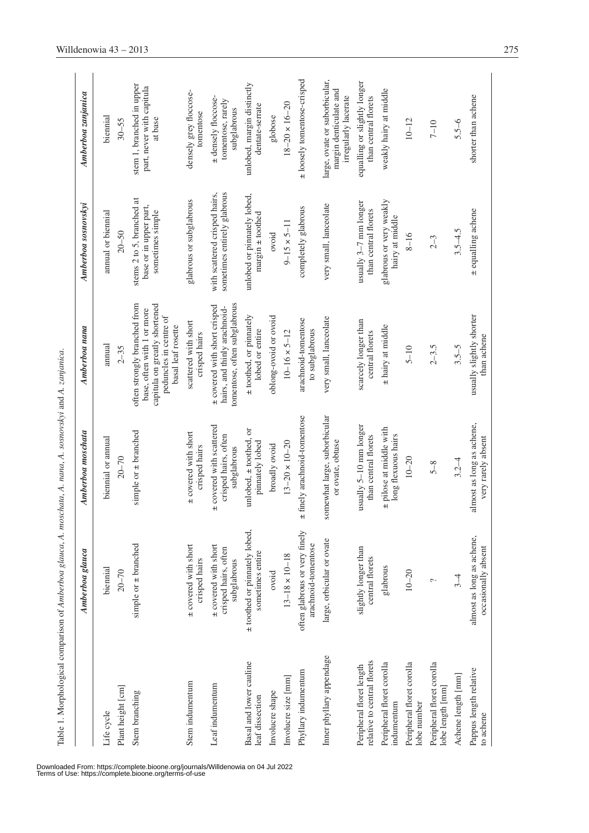|                                                         | Table 1. Morphological comparison of Amberboa glauca, A. moschata, A. nana, A. sosnovskyi and A. zanjanica. |                                                                 |                                                                                                                                             |                                                                         |                                                                                 |
|---------------------------------------------------------|-------------------------------------------------------------------------------------------------------------|-----------------------------------------------------------------|---------------------------------------------------------------------------------------------------------------------------------------------|-------------------------------------------------------------------------|---------------------------------------------------------------------------------|
|                                                         | Amberboa glauca                                                                                             | Amberboa moschata                                               | Amberboa nana                                                                                                                               | Amberboa sosnovskvi                                                     | Amberboa zanjanica                                                              |
| Life cycle                                              | biennial                                                                                                    | biennial or annual                                              | annual                                                                                                                                      | annual or biennial                                                      | biennial                                                                        |
| Plant height [cm]                                       | $20 - 70$                                                                                                   | $20 - 70$                                                       | $2 - 35$                                                                                                                                    | $20 - 50$                                                               | $30 - 55$                                                                       |
| Stem branching                                          | simple or $\pm$ branched                                                                                    | simple or $\pm$ branched                                        | often strongly branched from<br>capitula on greatly shortened<br>base, often with 1 or more<br>peduncles in centre of<br>basal leaf rosette | stems 2 to 5, branched at<br>base or in upper part,<br>sometimes simple | stem 1, branched in upper<br>part, never with capitula<br>at base               |
| Stem indumentum                                         | ± covered with short<br>crisped hairs                                                                       | ± covered with short<br>crisped hairs                           | scattered with short<br>crisped hairs                                                                                                       | glabrous or subglabrous                                                 | densely grey floccose-<br>tomentose                                             |
| Leaf indumentum                                         | ± covered with short<br>crisped hairs, often<br>subglabrous                                                 | ± covered with scattered<br>crisped hairs, often<br>subglabrous | tomentose, often subglabrous<br>± covered with short crisped<br>hairs, and thinly arachnoid-                                                | sometimes entirely glabrous<br>with scattered crisped hairs,            | + densely floccose-<br>tomentose, rarely<br>subglabrous                         |
| Basal and lower cauline<br>leaf dissection              | ± toothed or pinnately lobed,<br>sometimes entire                                                           | unlobed, $\pm$ toothed, or<br>pinnately lobed                   | ± toothed, or pinnately<br>lobed or entire                                                                                                  | unlobed or pinnately lobed,<br>$margin \pm toothed$                     | unlobed, margin distinctly<br>dentate-serrate                                   |
| Involucre shape                                         | ovoid                                                                                                       | broadly ovoid                                                   | oblong-ovoid or ovoid                                                                                                                       | ovoid                                                                   | globose                                                                         |
| Involucre size [mm]                                     | $13 - 18 \times 10 - 18$                                                                                    | $13 - 20 \times 10 - 20$                                        | $10 - 16 \times 5 - 12$                                                                                                                     | $9 - 15 \times 5 - 11$                                                  | $18 - 20 \times 16 - 20$                                                        |
| Phyllary indumentum                                     | often glabrous or very finely<br>arachnoid-tomentose                                                        | finely arachnoid-tomentose<br>$\ddot{}$                         | arachnoid-tomentose<br>to subglabrous                                                                                                       | completely glabrous                                                     | ± loosely tomentose-crisped                                                     |
| Inner phyllary appendage                                | large, orbicular or ovate                                                                                   | somewhat large, suborbicular<br>or ovate, obtuse                | very small, lanceolate                                                                                                                      | very small, lanceolate                                                  | large, ovate or suborbicular,<br>margin denticulate and<br>irregularly lacerate |
| relative to central florets<br>Peripheral floret length | slightly longer than<br>central florets                                                                     | usually 5-10 mm longer<br>than central florets                  | scarcely longer than<br>central florets                                                                                                     | usually $3-7$ nm longer<br>than central florets                         | equalling or slightly longer<br>than central florets                            |
| Peripheral floret corolla<br>indumentum                 | glabrous                                                                                                    | ± pilose at middle with<br>long flexuous hairs                  | ± hairy at middle                                                                                                                           | glabrous or very weakly<br>hairy at middle                              | weakly hairy at middle                                                          |
| Peripheral floret corolla<br>lobe number                | $10 - 20$                                                                                                   | $10 - 20$                                                       | $5 - 10$                                                                                                                                    | $8 - 16$                                                                | $10 - 12$                                                                       |
| Peripheral floret corolla<br>lobe length [mm]           | $\sim$                                                                                                      | $5 - 8$                                                         | $2 - 3.5$                                                                                                                                   | $2 - 3$                                                                 | $7 - 10$                                                                        |
| Achene length [mm]                                      | $3 - 4$                                                                                                     | $3.2 - 4$                                                       | $3.5 - 5$                                                                                                                                   | $3.5 - 4.5$                                                             | $5.5 - 6$                                                                       |
| Pappus length relative<br>to achene                     | almost as long as achene,<br>occasionally absent                                                            | almost as long as achene,<br>very rarely absent                 | usually slightly shorter<br>than achene                                                                                                     | ± equalling achene                                                      | shorter than achene                                                             |

Table 1. Morphological comparison of Amberboa glauca, A. moschata, A. nana, A. sosnovskyi and A. zanjanica.

Downloaded From: https://complete.bioone.org/journals/Willdenowia on 04 Jul 2022 Terms of Use: https://complete.bioone.org/terms-of-use

l,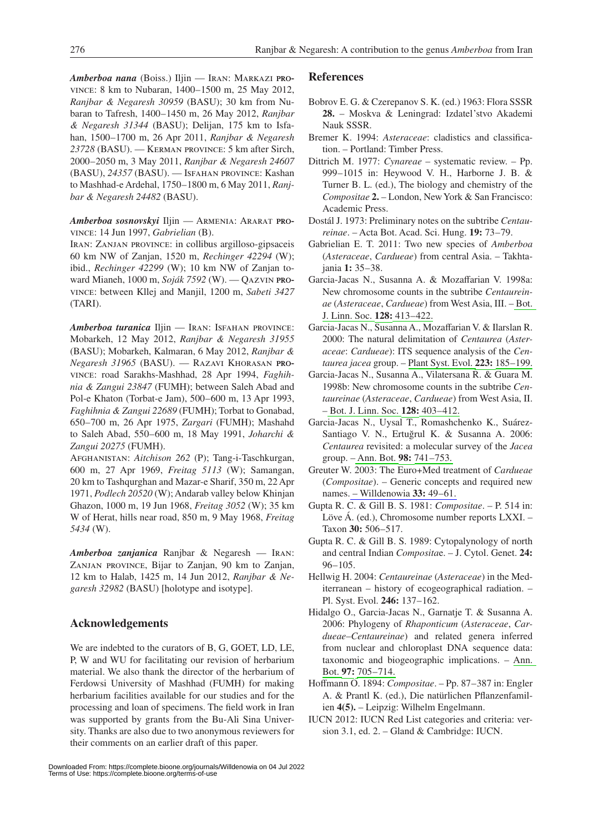*Amberboa nana* (Boiss.) Iljin — Iran: Markazi province: 8 km to Nubaran, 1400–1500 m, 25 May 2012, *Ranjbar & Negaresh 30959* (BASU); 30 km from Nubaran to Tafresh, 1400–1450 m, 26 May 2012, *Ranjbar & Negaresh 31344* (BASU); Delijan, 175 km to Isfahan, 1500–1700 m, 26 Apr 2011, *Ranjbar & Negaresh 23728* (BASU). — Kerman province: 5 km after Sirch, 2000–2050 m, 3 May 2011, *Ranjbar & Negaresh 24607*  (BASU), *24357* (BASU). — Isfahan province: Kashan to Mashhad-e Ardehal, 1750–1800 m, 6 May 2011, *Ranjbar & Negaresh 24482* (BASU).

*Amberboa sosnovskyi* Iljin — Armenia: Ararat province: 14 Jun 1997, *Gabrielian* (B).

Iran: Zanjan province: in collibus argilloso-gipsaceis 60 km NW of Zanjan, 1520 m, *Rechinger 42294* (W); ibid., *Rechinger 42299* (W); 10 km NW of Zanjan toward Mianeh, 1000 m, *Soják 7592* (W). — Qazvin province: between Kllej and Manjil, 1200 m, *Sabeti 3427* (TARI).

*Amberboa turanica* Iljin — Iran: Isfahan province: Mobarkeh, 12 May 2012, *Ranjbar & Negaresh 31955* (BASU); Mobarkeh, Kalmaran, 6 May 2012, *Ranjbar & Negaresh 31965* (BASU). — Razavi Khorasan province: road Sarakhs-Mashhad, 28 Apr 1994, *Faghihnia & Zangui 23847* (FUMH); between Saleh Abad and Pol-e Khaton (Torbat-e Jam), 500–600 m, 13 Apr 1993, *Faghihnia & Zangui 22689* (FUMH); Torbat to Gonabad, 650–700 m, 26 Apr 1975, *Zargari* (FUMH); Mashahd to Saleh Abad, 550–600 m, 18 May 1991, *Joharchi & Zangui 20275* (FUMH).

Afghanistan: *Aitchison 262* (P); Tang-i-Taschkurgan, 600 m, 27 Apr 1969, *Freitag 5113* (W); Samangan, 20 km to Tashqurghan and Mazar-e Sharif, 350 m, 22 Apr 1971, *Podlech 20520* (W); Andarab valley below Khinjan Ghazon, 1000 m, 19 Jun 1968, *Freitag 3052* (W); 35 km W of Herat, hills near road, 850 m, 9 May 1968, *Freitag 5434* (W).

*Amberboa zanjanica* Ranjbar & Negaresh — Iran: Zanjan province, Bijar to Zanjan, 90 km to Zanjan, 12 km to Halab, 1425 m, 14 Jun 2012, *Ranjbar & Negaresh 32982* (BASU) [holotype and isotype].

# **Acknowledgements**

We are indebted to the curators of B, G, GOET, LD, LE, P, W and WU for facilitating our revision of herbarium material. We also thank the director of the herbarium of Ferdowsi University of Mashhad (FUMH) for making herbarium facilities available for our studies and for the processing and loan of specimens. The field work in Iran was supported by grants from the Bu-Ali Sina University. Thanks are also due to two anonymous reviewers for their comments on an earlier draft of this paper.

### **References**

- Bobrov E. G. & Czerepanov S. K. (ed.) 1963: Flora SSSR **28.** – Moskva & Leningrad: Izdatel'stvo Akademi Nauk SSSR.
- Bremer K. 1994: *Asteraceae*: cladistics and classification. – Portland: Timber Press.
- Dittrich M. 1977: *Cynareae* systematic review. Pp. 999–1015 in: Heywood V. H., Harborne J. B. & Turner B. L. (ed.), The biology and chemistry of the *Compositae* **2.** – London, New York & San Francisco: Academic Press.
- Dostál J. 1973: Preliminary notes on the subtribe *Centaureinae*. – Acta Bot. Acad. Sci. Hung. **19:** 73–79.
- Gabrielian E. T. 2011: Two new species of *Amberboa* (*Asteraceae*, *Cardueae*) from central Asia. – Takhtajania **1:** 35–38.
- Garcia-Jacas N., Susanna A. & Mozaffarian V. 1998a: New chromosome counts in the subtribe *Centaureinae* (*Asteraceae*, *Cardueae*) from West Asia, III. – [Bot.](http://dx.doi.org/10.1111/j.1095-8339.1998.tb02130.x)  [J. Linn. Soc.](http://dx.doi.org/10.1111/j.1095-8339.1998.tb02130.x) **[128:](http://dx.doi.org/10.1111/j.1095-8339.1998.tb02130.x)** [413–422.](http://dx.doi.org/10.1111/j.1095-8339.1998.tb02130.x)
- Garcia-Jacas N., Susanna A., Mozaffarian V. & Ilarslan R. 2000: The natural delimitation of *Centaurea* (*Asteraceae*: *Cardueae*): ITS sequence analysis of the *Centaurea jacea* group. – [Plant Syst. Evol.](http://dx.doi.org/10.1007/BF00985278) **[223:](http://dx.doi.org/10.1007/BF00985278)** [185–199.](http://dx.doi.org/10.1007/BF00985278)
- Garcia-Jacas N., Susanna A., Vilatersana R. & Guara M. 1998b: New chromosome counts in the subtribe *Centaureinae* (*Asteraceae*, *Cardueae*) from West Asia, II. – [Bot. J. Linn. Soc.](http://dx.doi.org/10.1111/j.1095-8339.1998.tb02129.x) **[128:](http://dx.doi.org/10.1111/j.1095-8339.1998.tb02129.x)** [403–412.](http://dx.doi.org/10.1111/j.1095-8339.1998.tb02129.x)
- Garcia-Jacas N., Uysal T., Romashchenko K., Suárez-Santiago V. N., Ertuğrul K. & Susanna A. 2006: *Centaurea* revisited: a molecular survey of the *Jacea* group. [– Ann. Bot.](http://dx.doi.org/10.1093/aob/mcl157) **[98:](http://dx.doi.org/10.1093/aob/mcl157)** [741–753.](http://dx.doi.org/10.1093/aob/mcl157)
- Greuter W. 2003: The Euro+Med treatment of *Cardueae* (*Compositae*). – Generic concepts and required new names[. – Willdenowia](http://www.ingentaconnect.com/content/external-references?article=0511-9618()33L.49[aid=6523960]) **33:** 49–61.
- Gupta R. C. & Gill B. S. 1981: *Compositae*. P. 514 in: Löve Á. (ed.), Chromosome number reports LXXI. – Taxon **30:** 506–517.
- Gupta R. C. & Gill B. S. 1989: Cytopalynology of north and central Indian *Composita*e. – J. Cytol. Genet. **24:**  96–105.
- Hellwig H. 2004: *Centaureinae* (*Asteraceae*) in the Mediterranean – history of ecogeographical radiation. – Pl. Syst. Evol. **246:** 137–162.
- Hidalgo O., Garcia-Jacas N., Garnatje T. & Susanna A. 2006: Phylogeny of *Rhaponticum* (*Asteraceae*, *Cardueae*–*Centaureinae*) and related genera inferred from nuclear and chloroplast DNA sequence data: taxonomic and biogeographic implications. – [Ann.](http://dx.doi.org/10.1093/aob/mcl029)  [Bot.](http://dx.doi.org/10.1093/aob/mcl029) **[97:](http://dx.doi.org/10.1093/aob/mcl029)** [705–714.](http://dx.doi.org/10.1093/aob/mcl029)
- Hoffmann O. 1894: *Compositae*. Pp. 87–387 in: Engler A. & Prantl K. (ed.), Die natürlichen Pflanzenfamilien **4(5).** – Leipzig: Wilhelm Engelmann.
- IUCN 2012: IUCN Red List categories and criteria: version 3.1, ed. 2. – Gland & Cambridge: IUCN.